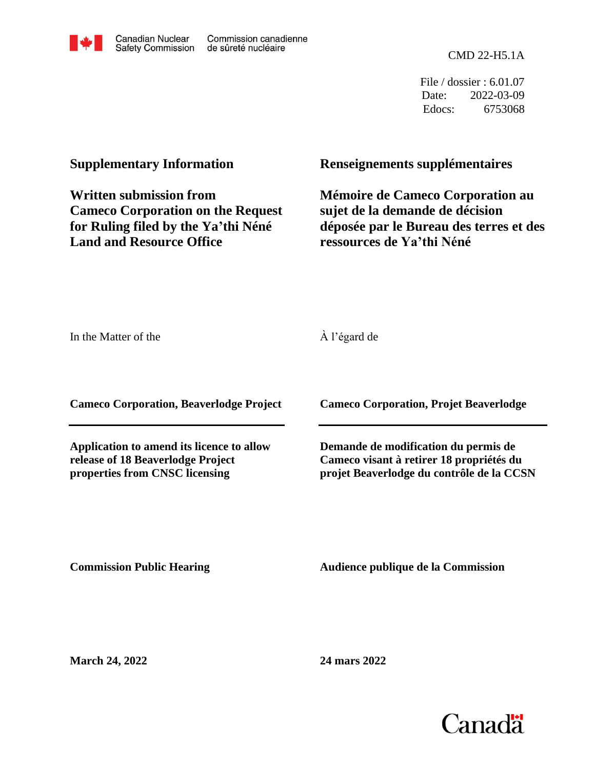

CMD 22-H5.1A

File / dossier : 6.01.07 Date: 2022-03-09 Edocs: 6753068

# **Supplementary Information**

**Written submission from Cameco Corporation on the Request for Ruling filed by the Ya'thi Néné Land and Resource Office**

## **Renseignements supplémentaires**

**Mémoire de Cameco Corporation au sujet de la demande de décision déposée par le Bureau des terres et des ressources de Ya'thi Néné**

In the Matter of the

À l'égard de

**Cameco Corporation, Beaverlodge Project**

**Application to amend its licence to allow release of 18 Beaverlodge Project properties from CNSC licensing**

**Cameco Corporation, Projet Beaverlodge**

**Demande de modification du permis de Cameco visant à retirer 18 propriétés du projet Beaverlodge du contrôle de la CCSN**

**Commission Public Hearing**

**Audience publique de la Commission** 

**March 24, 2022**

**24 mars 2022**

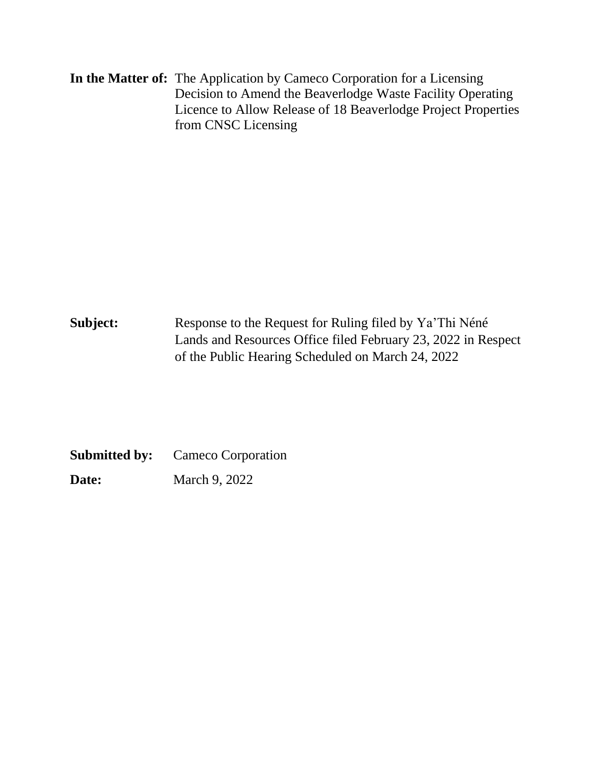**In the Matter of:** The Application by Cameco Corporation for a Licensing Decision to Amend the Beaverlodge Waste Facility Operating Licence to Allow Release of 18 Beaverlodge Project Properties from CNSC Licensing

Subject: Response to the Request for Ruling filed by Ya'Thi Néné Lands and Resources Office filed February 23, 2022 in Respect of the Public Hearing Scheduled on March 24, 2022

**Submitted by:** Cameco Corporation **Date:** March 9, 2022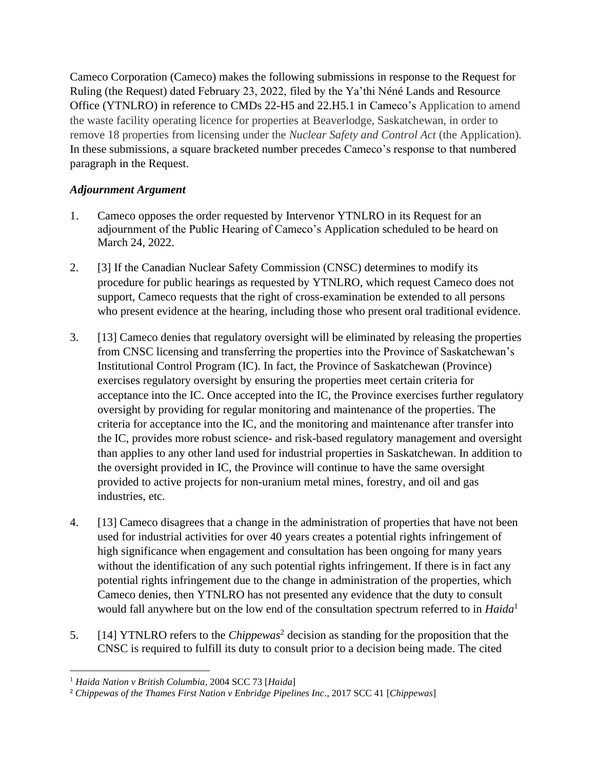Cameco Corporation (Cameco) makes the following submissions in response to the Request for Ruling (the Request) dated February 23, 2022, filed by the Ya'thi Néné Lands and Resource Office (YTNLRO) in reference to CMDs 22-H5 and 22.H5.1 in Cameco's Application to amend the waste facility operating licence for properties at Beaverlodge, Saskatchewan, in order to remove 18 properties from licensing under the *Nuclear Safety and Control Act* (the Application)*.*  In these submissions, a square bracketed number precedes Cameco's response to that numbered paragraph in the Request.

## *Adjournment Argument*

- 1. Cameco opposes the order requested by Intervenor YTNLRO in its Request for an adjournment of the Public Hearing of Cameco's Application scheduled to be heard on March 24, 2022.
- 2. [3] If the Canadian Nuclear Safety Commission (CNSC) determines to modify its procedure for public hearings as requested by YTNLRO, which request Cameco does not support, Cameco requests that the right of cross-examination be extended to all persons who present evidence at the hearing, including those who present oral traditional evidence.
- 3. [13] Cameco denies that regulatory oversight will be eliminated by releasing the properties from CNSC licensing and transferring the properties into the Province of Saskatchewan's Institutional Control Program (IC). In fact, the Province of Saskatchewan (Province) exercises regulatory oversight by ensuring the properties meet certain criteria for acceptance into the IC. Once accepted into the IC, the Province exercises further regulatory oversight by providing for regular monitoring and maintenance of the properties. The criteria for acceptance into the IC, and the monitoring and maintenance after transfer into the IC, provides more robust science- and risk-based regulatory management and oversight than applies to any other land used for industrial properties in Saskatchewan. In addition to the oversight provided in IC, the Province will continue to have the same oversight provided to active projects for non-uranium metal mines, forestry, and oil and gas industries, etc.
- 4. [13] Cameco disagrees that a change in the administration of properties that have not been used for industrial activities for over 40 years creates a potential rights infringement of high significance when engagement and consultation has been ongoing for many years without the identification of any such potential rights infringement. If there is in fact any potential rights infringement due to the change in administration of the properties, which Cameco denies, then YTNLRO has not presented any evidence that the duty to consult would fall anywhere but on the low end of the consultation spectrum referred to in *Haida*<sup>1</sup>
- 5. [14] YTNLRO refers to the *Chippewas*<sup>2</sup> decision as standing for the proposition that the CNSC is required to fulfill its duty to consult prior to a decision being made. The cited

<sup>1</sup> *Haida Nation v British Columbia*, 2004 SCC 73 [*Haida*]

<sup>2</sup> *Chippewas of the Thames First Nation v Enbridge Pipelines Inc*., 2017 SCC 41 [*Chippewas*]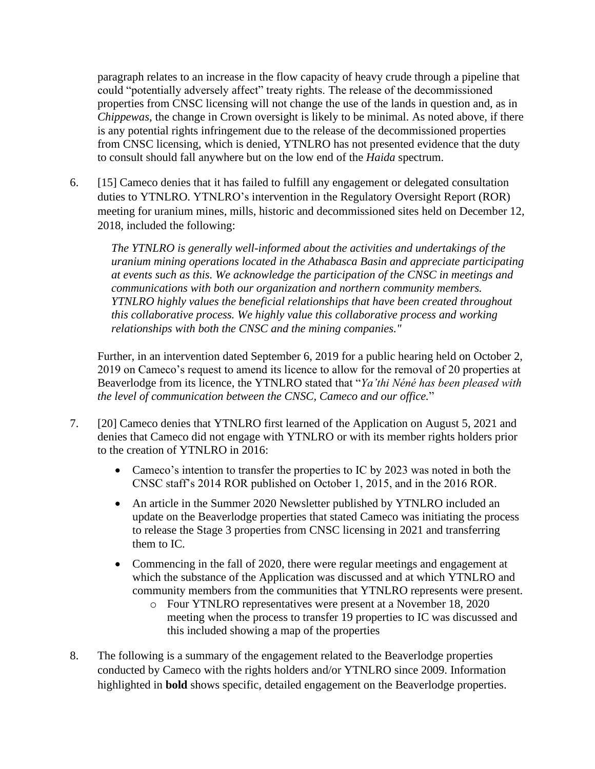paragraph relates to an increase in the flow capacity of heavy crude through a pipeline that could "potentially adversely affect" treaty rights. The release of the decommissioned properties from CNSC licensing will not change the use of the lands in question and, as in *Chippewas*, the change in Crown oversight is likely to be minimal. As noted above, if there is any potential rights infringement due to the release of the decommissioned properties from CNSC licensing, which is denied, YTNLRO has not presented evidence that the duty to consult should fall anywhere but on the low end of the *Haida* spectrum.

6. [15] Cameco denies that it has failed to fulfill any engagement or delegated consultation duties to YTNLRO. YTNLRO's intervention in the Regulatory Oversight Report (ROR) meeting for uranium mines, mills, historic and decommissioned sites held on December 12, 2018, included the following:

*The YTNLRO is generally well-informed about the activities and undertakings of the uranium mining operations located in the Athabasca Basin and appreciate participating at events such as this. We acknowledge the participation of the CNSC in meetings and communications with both our organization and northern community members. YTNLRO highly values the beneficial relationships that have been created throughout this collaborative process. We highly value this collaborative process and working relationships with both the CNSC and the mining companies."*

Further, in an intervention dated September 6, 2019 for a public hearing held on October 2, 2019 on Cameco's request to amend its licence to allow for the removal of 20 properties at Beaverlodge from its licence, the YTNLRO stated that "*Ya'thi Néné has been pleased with the level of communication between the CNSC, Cameco and our office.*"

- 7. [20] Cameco denies that YTNLRO first learned of the Application on August 5, 2021 and denies that Cameco did not engage with YTNLRO or with its member rights holders prior to the creation of YTNLRO in 2016:
	- Cameco's intention to transfer the properties to IC by 2023 was noted in both the CNSC staff's 2014 ROR published on October 1, 2015, and in the 2016 ROR.
	- An article in the Summer 2020 Newsletter published by YTNLRO included an update on the Beaverlodge properties that stated Cameco was initiating the process to release the Stage 3 properties from CNSC licensing in 2021 and transferring them to IC.
	- Commencing in the fall of 2020, there were regular meetings and engagement at which the substance of the Application was discussed and at which YTNLRO and community members from the communities that YTNLRO represents were present.
		- o Four YTNLRO representatives were present at a November 18, 2020 meeting when the process to transfer 19 properties to IC was discussed and this included showing a map of the properties
- 8. The following is a summary of the engagement related to the Beaverlodge properties conducted by Cameco with the rights holders and/or YTNLRO since 2009. Information highlighted in **bold** shows specific, detailed engagement on the Beaverlodge properties.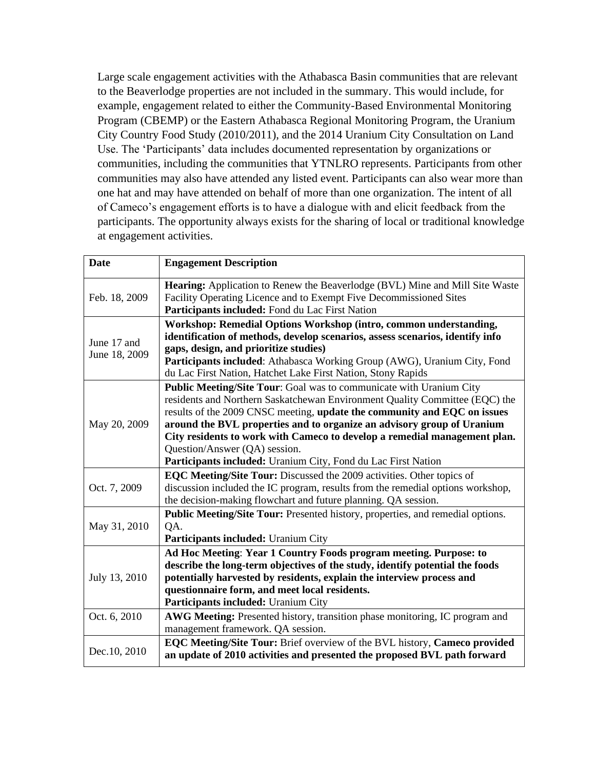Large scale engagement activities with the Athabasca Basin communities that are relevant to the Beaverlodge properties are not included in the summary. This would include, for example, engagement related to either the Community-Based Environmental Monitoring Program (CBEMP) or the Eastern Athabasca Regional Monitoring Program, the Uranium City Country Food Study (2010/2011), and the 2014 Uranium City Consultation on Land Use. The 'Participants' data includes documented representation by organizations or communities, including the communities that YTNLRO represents. Participants from other communities may also have attended any listed event. Participants can also wear more than one hat and may have attended on behalf of more than one organization. The intent of all of Cameco's engagement efforts is to have a dialogue with and elicit feedback from the participants. The opportunity always exists for the sharing of local or traditional knowledge at engagement activities.

| <b>Date</b>   | <b>Engagement Description</b>                                                         |
|---------------|---------------------------------------------------------------------------------------|
| Feb. 18, 2009 | <b>Hearing:</b> Application to Renew the Beaverlodge (BVL) Mine and Mill Site Waste   |
|               | Facility Operating Licence and to Exempt Five Decommissioned Sites                    |
|               | Participants included: Fond du Lac First Nation                                       |
|               | Workshop: Remedial Options Workshop (intro, common understanding,                     |
| June 17 and   | identification of methods, develop scenarios, assess scenarios, identify info         |
| June 18, 2009 | gaps, design, and prioritize studies)                                                 |
|               | Participants included: Athabasca Working Group (AWG), Uranium City, Fond              |
|               | du Lac First Nation, Hatchet Lake First Nation, Stony Rapids                          |
|               | Public Meeting/Site Tour: Goal was to communicate with Uranium City                   |
|               | residents and Northern Saskatchewan Environment Quality Committee (EQC) the           |
|               | results of the 2009 CNSC meeting, update the community and EQC on issues              |
| May 20, 2009  | around the BVL properties and to organize an advisory group of Uranium                |
|               | City residents to work with Cameco to develop a remedial management plan.             |
|               | Question/Answer (QA) session.                                                         |
|               | Participants included: Uranium City, Fond du Lac First Nation                         |
|               | EQC Meeting/Site Tour: Discussed the 2009 activities. Other topics of                 |
| Oct. 7, 2009  | discussion included the IC program, results from the remedial options workshop,       |
|               | the decision-making flowchart and future planning. QA session.                        |
| May 31, 2010  | <b>Public Meeting/Site Tour:</b> Presented history, properties, and remedial options. |
|               | QA.                                                                                   |
|               | Participants included: Uranium City                                                   |
|               | Ad Hoc Meeting: Year 1 Country Foods program meeting. Purpose: to                     |
|               | describe the long-term objectives of the study, identify potential the foods          |
| July 13, 2010 | potentially harvested by residents, explain the interview process and                 |
|               | questionnaire form, and meet local residents.                                         |
|               | Participants included: Uranium City                                                   |
| Oct. 6, 2010  | AWG Meeting: Presented history, transition phase monitoring, IC program and           |
|               | management framework. QA session.                                                     |
| Dec.10, 2010  | EQC Meeting/Site Tour: Brief overview of the BVL history, Cameco provided             |
|               | an update of 2010 activities and presented the proposed BVL path forward              |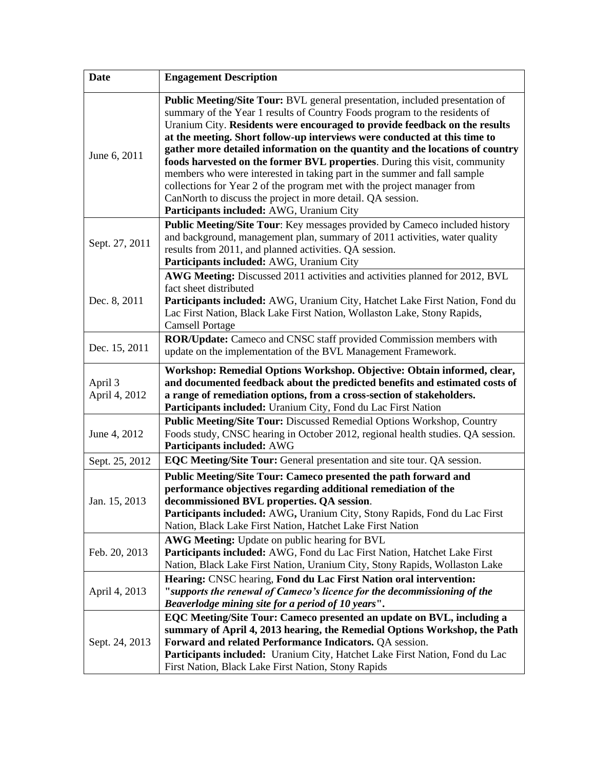| <b>Date</b>              | <b>Engagement Description</b>                                                                                                                                                                                                                                                                                                                                                                                                                                                                                                                                                                                                                                                                                                                          |
|--------------------------|--------------------------------------------------------------------------------------------------------------------------------------------------------------------------------------------------------------------------------------------------------------------------------------------------------------------------------------------------------------------------------------------------------------------------------------------------------------------------------------------------------------------------------------------------------------------------------------------------------------------------------------------------------------------------------------------------------------------------------------------------------|
| June 6, 2011             | Public Meeting/Site Tour: BVL general presentation, included presentation of<br>summary of the Year 1 results of Country Foods program to the residents of<br>Uranium City. Residents were encouraged to provide feedback on the results<br>at the meeting. Short follow-up interviews were conducted at this time to<br>gather more detailed information on the quantity and the locations of country<br>foods harvested on the former BVL properties. During this visit, community<br>members who were interested in taking part in the summer and fall sample<br>collections for Year 2 of the program met with the project manager from<br>CanNorth to discuss the project in more detail. QA session.<br>Participants included: AWG, Uranium City |
| Sept. 27, 2011           | Public Meeting/Site Tour: Key messages provided by Cameco included history<br>and background, management plan, summary of 2011 activities, water quality<br>results from 2011, and planned activities. QA session.<br>Participants included: AWG, Uranium City                                                                                                                                                                                                                                                                                                                                                                                                                                                                                         |
| Dec. 8, 2011             | AWG Meeting: Discussed 2011 activities and activities planned for 2012, BVL<br>fact sheet distributed<br>Participants included: AWG, Uranium City, Hatchet Lake First Nation, Fond du<br>Lac First Nation, Black Lake First Nation, Wollaston Lake, Stony Rapids,<br><b>Camsell Portage</b>                                                                                                                                                                                                                                                                                                                                                                                                                                                            |
| Dec. 15, 2011            | ROR/Update: Cameco and CNSC staff provided Commission members with<br>update on the implementation of the BVL Management Framework.                                                                                                                                                                                                                                                                                                                                                                                                                                                                                                                                                                                                                    |
| April 3<br>April 4, 2012 | Workshop: Remedial Options Workshop. Objective: Obtain informed, clear,<br>and documented feedback about the predicted benefits and estimated costs of<br>a range of remediation options, from a cross-section of stakeholders.<br>Participants included: Uranium City, Fond du Lac First Nation                                                                                                                                                                                                                                                                                                                                                                                                                                                       |
| June 4, 2012             | Public Meeting/Site Tour: Discussed Remedial Options Workshop, Country<br>Foods study, CNSC hearing in October 2012, regional health studies. QA session.<br>Participants included: AWG                                                                                                                                                                                                                                                                                                                                                                                                                                                                                                                                                                |
| Sept. 25, 2012           | EQC Meeting/Site Tour: General presentation and site tour. QA session.                                                                                                                                                                                                                                                                                                                                                                                                                                                                                                                                                                                                                                                                                 |
| Jan. 15, 2013            | Public Meeting/Site Tour: Cameco presented the path forward and<br>performance objectives regarding additional remediation of the<br>decommissioned BVL properties. QA session.<br>Participants included: AWG, Uranium City, Stony Rapids, Fond du Lac First<br>Nation, Black Lake First Nation, Hatchet Lake First Nation                                                                                                                                                                                                                                                                                                                                                                                                                             |
| Feb. 20, 2013            | AWG Meeting: Update on public hearing for BVL<br>Participants included: AWG, Fond du Lac First Nation, Hatchet Lake First<br>Nation, Black Lake First Nation, Uranium City, Stony Rapids, Wollaston Lake                                                                                                                                                                                                                                                                                                                                                                                                                                                                                                                                               |
| April 4, 2013            | Hearing: CNSC hearing, Fond du Lac First Nation oral intervention:<br>"supports the renewal of Cameco's licence for the decommissioning of the<br>Beaverlodge mining site for a period of 10 years".                                                                                                                                                                                                                                                                                                                                                                                                                                                                                                                                                   |
| Sept. 24, 2013           | EQC Meeting/Site Tour: Cameco presented an update on BVL, including a<br>summary of April 4, 2013 hearing, the Remedial Options Workshop, the Path<br>Forward and related Performance Indicators. QA session.<br>Participants included: Uranium City, Hatchet Lake First Nation, Fond du Lac<br>First Nation, Black Lake First Nation, Stony Rapids                                                                                                                                                                                                                                                                                                                                                                                                    |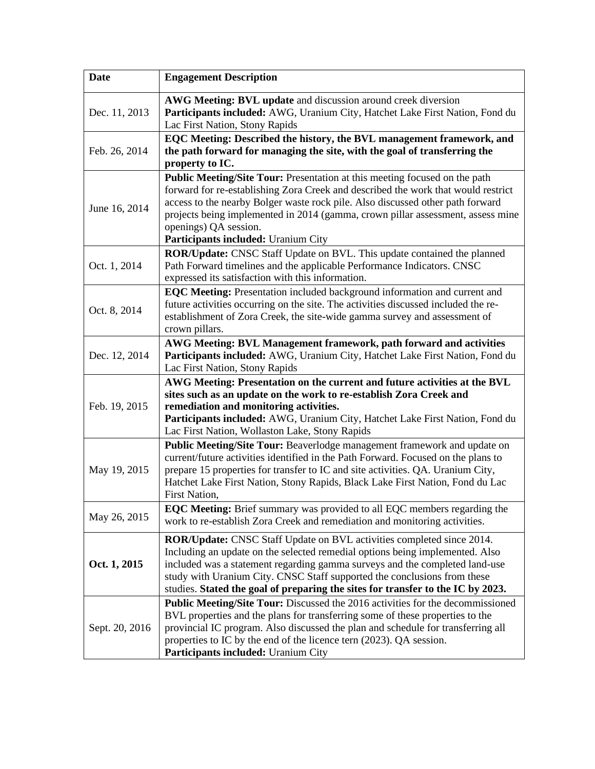| <b>Date</b>    | <b>Engagement Description</b>                                                                                                                                                                                                                                                                                                                                                                        |
|----------------|------------------------------------------------------------------------------------------------------------------------------------------------------------------------------------------------------------------------------------------------------------------------------------------------------------------------------------------------------------------------------------------------------|
| Dec. 11, 2013  | AWG Meeting: BVL update and discussion around creek diversion<br>Participants included: AWG, Uranium City, Hatchet Lake First Nation, Fond du<br>Lac First Nation, Stony Rapids                                                                                                                                                                                                                      |
| Feb. 26, 2014  | EQC Meeting: Described the history, the BVL management framework, and<br>the path forward for managing the site, with the goal of transferring the<br>property to IC.                                                                                                                                                                                                                                |
| June 16, 2014  | Public Meeting/Site Tour: Presentation at this meeting focused on the path<br>forward for re-establishing Zora Creek and described the work that would restrict<br>access to the nearby Bolger waste rock pile. Also discussed other path forward<br>projects being implemented in 2014 (gamma, crown pillar assessment, assess mine<br>openings) QA session.<br>Participants included: Uranium City |
| Oct. 1, 2014   | ROR/Update: CNSC Staff Update on BVL. This update contained the planned<br>Path Forward timelines and the applicable Performance Indicators. CNSC<br>expressed its satisfaction with this information.                                                                                                                                                                                               |
| Oct. 8, 2014   | EQC Meeting: Presentation included background information and current and<br>future activities occurring on the site. The activities discussed included the re-<br>establishment of Zora Creek, the site-wide gamma survey and assessment of<br>crown pillars.                                                                                                                                       |
| Dec. 12, 2014  | AWG Meeting: BVL Management framework, path forward and activities<br>Participants included: AWG, Uranium City, Hatchet Lake First Nation, Fond du<br>Lac First Nation, Stony Rapids                                                                                                                                                                                                                 |
| Feb. 19, 2015  | AWG Meeting: Presentation on the current and future activities at the BVL<br>sites such as an update on the work to re-establish Zora Creek and<br>remediation and monitoring activities.<br>Participants included: AWG, Uranium City, Hatchet Lake First Nation, Fond du<br>Lac First Nation, Wollaston Lake, Stony Rapids                                                                          |
| May 19, 2015   | Public Meeting/Site Tour: Beaverlodge management framework and update on<br>current/future activities identified in the Path Forward. Focused on the plans to<br>prepare 15 properties for transfer to IC and site activities. QA. Uranium City,<br>Hatchet Lake First Nation, Stony Rapids, Black Lake First Nation, Fond du Lac<br>First Nation,                                                   |
| May 26, 2015   | EQC Meeting: Brief summary was provided to all EQC members regarding the<br>work to re-establish Zora Creek and remediation and monitoring activities.                                                                                                                                                                                                                                               |
| Oct. 1, 2015   | ROR/Update: CNSC Staff Update on BVL activities completed since 2014.<br>Including an update on the selected remedial options being implemented. Also<br>included was a statement regarding gamma surveys and the completed land-use<br>study with Uranium City. CNSC Staff supported the conclusions from these<br>studies. Stated the goal of preparing the sites for transfer to the IC by 2023.  |
| Sept. 20, 2016 | <b>Public Meeting/Site Tour:</b> Discussed the 2016 activities for the decommissioned<br>BVL properties and the plans for transferring some of these properties to the<br>provincial IC program. Also discussed the plan and schedule for transferring all<br>properties to IC by the end of the licence tern (2023). QA session.<br>Participants included: Uranium City                             |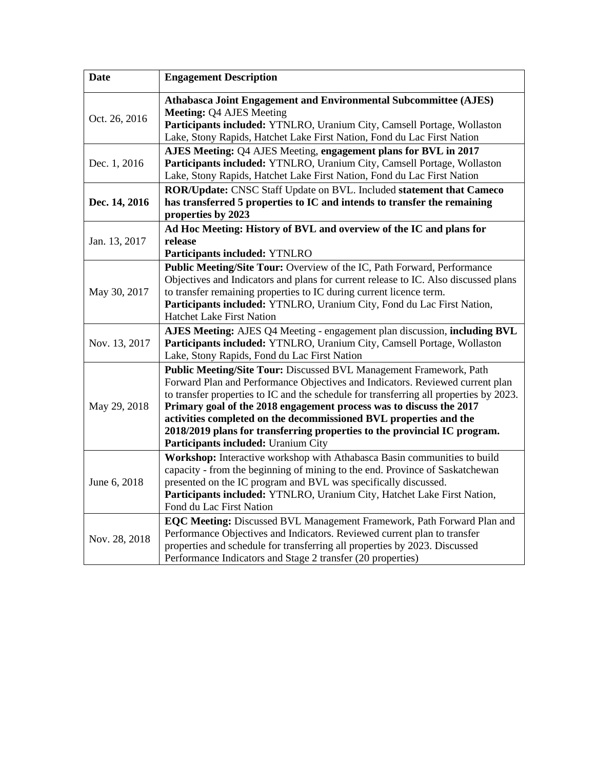| <b>Date</b>   | <b>Engagement Description</b>                                                                                                                                                                                                                                                                                                                                                                                                                                                                                 |
|---------------|---------------------------------------------------------------------------------------------------------------------------------------------------------------------------------------------------------------------------------------------------------------------------------------------------------------------------------------------------------------------------------------------------------------------------------------------------------------------------------------------------------------|
| Oct. 26, 2016 | Athabasca Joint Engagement and Environmental Subcommittee (AJES)<br><b>Meeting: Q4 AJES Meeting</b><br>Participants included: YTNLRO, Uranium City, Camsell Portage, Wollaston<br>Lake, Stony Rapids, Hatchet Lake First Nation, Fond du Lac First Nation                                                                                                                                                                                                                                                     |
| Dec. 1, 2016  | AJES Meeting: Q4 AJES Meeting, engagement plans for BVL in 2017<br>Participants included: YTNLRO, Uranium City, Camsell Portage, Wollaston<br>Lake, Stony Rapids, Hatchet Lake First Nation, Fond du Lac First Nation                                                                                                                                                                                                                                                                                         |
| Dec. 14, 2016 | ROR/Update: CNSC Staff Update on BVL. Included statement that Cameco<br>has transferred 5 properties to IC and intends to transfer the remaining<br>properties by 2023                                                                                                                                                                                                                                                                                                                                        |
| Jan. 13, 2017 | Ad Hoc Meeting: History of BVL and overview of the IC and plans for<br>release<br>Participants included: YTNLRO                                                                                                                                                                                                                                                                                                                                                                                               |
| May 30, 2017  | Public Meeting/Site Tour: Overview of the IC, Path Forward, Performance<br>Objectives and Indicators and plans for current release to IC. Also discussed plans<br>to transfer remaining properties to IC during current licence term.<br>Participants included: YTNLRO, Uranium City, Fond du Lac First Nation,<br><b>Hatchet Lake First Nation</b>                                                                                                                                                           |
| Nov. 13, 2017 | AJES Meeting: AJES Q4 Meeting - engagement plan discussion, including BVL<br>Participants included: YTNLRO, Uranium City, Camsell Portage, Wollaston<br>Lake, Stony Rapids, Fond du Lac First Nation                                                                                                                                                                                                                                                                                                          |
| May 29, 2018  | Public Meeting/Site Tour: Discussed BVL Management Framework, Path<br>Forward Plan and Performance Objectives and Indicators. Reviewed current plan<br>to transfer properties to IC and the schedule for transferring all properties by 2023.<br>Primary goal of the 2018 engagement process was to discuss the 2017<br>activities completed on the decommissioned BVL properties and the<br>2018/2019 plans for transferring properties to the provincial IC program.<br>Participants included: Uranium City |
| June 6, 2018  | Workshop: Interactive workshop with Athabasca Basin communities to build<br>capacity - from the beginning of mining to the end. Province of Saskatchewan<br>presented on the IC program and BVL was specifically discussed.<br>Participants included: YTNLRO, Uranium City, Hatchet Lake First Nation,<br>Fond du Lac First Nation                                                                                                                                                                            |
| Nov. 28, 2018 | EQC Meeting: Discussed BVL Management Framework, Path Forward Plan and<br>Performance Objectives and Indicators. Reviewed current plan to transfer<br>properties and schedule for transferring all properties by 2023. Discussed<br>Performance Indicators and Stage 2 transfer (20 properties)                                                                                                                                                                                                               |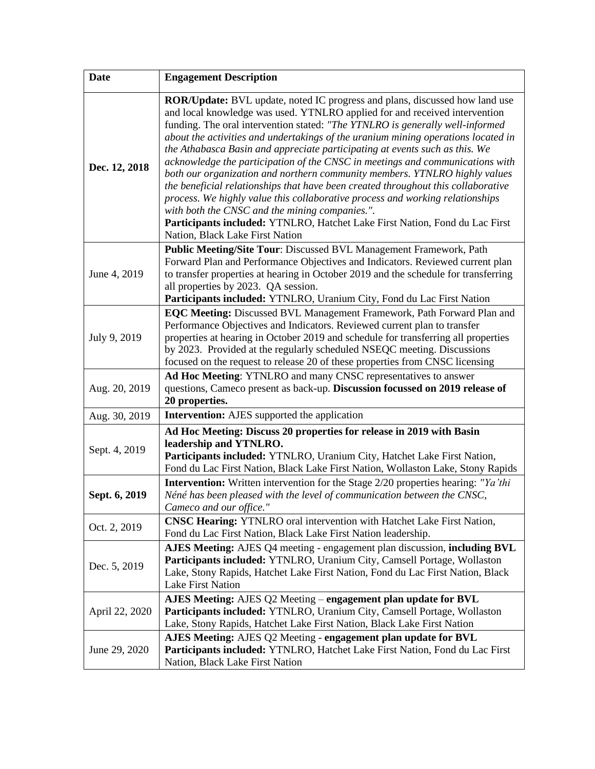| <b>Date</b>    | <b>Engagement Description</b>                                                                                                                                                                                                                                                                                                                                                                                                                                                                                                                                                                                                                                                                                                                                                                                                                                                                                                  |
|----------------|--------------------------------------------------------------------------------------------------------------------------------------------------------------------------------------------------------------------------------------------------------------------------------------------------------------------------------------------------------------------------------------------------------------------------------------------------------------------------------------------------------------------------------------------------------------------------------------------------------------------------------------------------------------------------------------------------------------------------------------------------------------------------------------------------------------------------------------------------------------------------------------------------------------------------------|
| Dec. 12, 2018  | <b>ROR/Update:</b> BVL update, noted IC progress and plans, discussed how land use<br>and local knowledge was used. YTNLRO applied for and received intervention<br>funding. The oral intervention stated: "The YTNLRO is generally well-informed<br>about the activities and undertakings of the uranium mining operations located in<br>the Athabasca Basin and appreciate participating at events such as this. We<br>acknowledge the participation of the CNSC in meetings and communications with<br>both our organization and northern community members. YTNLRO highly values<br>the beneficial relationships that have been created throughout this collaborative<br>process. We highly value this collaborative process and working relationships<br>with both the CNSC and the mining companies.".<br>Participants included: YTNLRO, Hatchet Lake First Nation, Fond du Lac First<br>Nation, Black Lake First Nation |
| June 4, 2019   | <b>Public Meeting/Site Tour: Discussed BVL Management Framework, Path</b><br>Forward Plan and Performance Objectives and Indicators. Reviewed current plan<br>to transfer properties at hearing in October 2019 and the schedule for transferring<br>all properties by 2023. QA session.<br>Participants included: YTNLRO, Uranium City, Fond du Lac First Nation                                                                                                                                                                                                                                                                                                                                                                                                                                                                                                                                                              |
| July 9, 2019   | EQC Meeting: Discussed BVL Management Framework, Path Forward Plan and<br>Performance Objectives and Indicators. Reviewed current plan to transfer<br>properties at hearing in October 2019 and schedule for transferring all properties<br>by 2023. Provided at the regularly scheduled NSEQC meeting. Discussions<br>focused on the request to release 20 of these properties from CNSC licensing                                                                                                                                                                                                                                                                                                                                                                                                                                                                                                                            |
| Aug. 20, 2019  | Ad Hoc Meeting: YTNLRO and many CNSC representatives to answer<br>questions, Cameco present as back-up. Discussion focussed on 2019 release of<br>20 properties.                                                                                                                                                                                                                                                                                                                                                                                                                                                                                                                                                                                                                                                                                                                                                               |
| Aug. 30, 2019  | <b>Intervention:</b> AJES supported the application                                                                                                                                                                                                                                                                                                                                                                                                                                                                                                                                                                                                                                                                                                                                                                                                                                                                            |
| Sept. 4, 2019  | Ad Hoc Meeting: Discuss 20 properties for release in 2019 with Basin<br>leadership and YTNLRO.<br>Participants included: YTNLRO, Uranium City, Hatchet Lake First Nation,<br>Fond du Lac First Nation, Black Lake First Nation, Wollaston Lake, Stony Rapids                                                                                                                                                                                                                                                                                                                                                                                                                                                                                                                                                                                                                                                                   |
| Sept. 6, 2019  | <b>Intervention:</b> Written intervention for the Stage 2/20 properties hearing: "Ya'thi<br>Néné has been pleased with the level of communication between the CNSC,<br>Cameco and our office."                                                                                                                                                                                                                                                                                                                                                                                                                                                                                                                                                                                                                                                                                                                                 |
| Oct. 2, 2019   | <b>CNSC Hearing:</b> YTNLRO oral intervention with Hatchet Lake First Nation,<br>Fond du Lac First Nation, Black Lake First Nation leadership.                                                                                                                                                                                                                                                                                                                                                                                                                                                                                                                                                                                                                                                                                                                                                                                 |
| Dec. 5, 2019   | AJES Meeting: AJES Q4 meeting - engagement plan discussion, including BVL<br>Participants included: YTNLRO, Uranium City, Camsell Portage, Wollaston<br>Lake, Stony Rapids, Hatchet Lake First Nation, Fond du Lac First Nation, Black<br><b>Lake First Nation</b>                                                                                                                                                                                                                                                                                                                                                                                                                                                                                                                                                                                                                                                             |
| April 22, 2020 | AJES Meeting: AJES Q2 Meeting – engagement plan update for BVL<br>Participants included: YTNLRO, Uranium City, Camsell Portage, Wollaston<br>Lake, Stony Rapids, Hatchet Lake First Nation, Black Lake First Nation                                                                                                                                                                                                                                                                                                                                                                                                                                                                                                                                                                                                                                                                                                            |
| June 29, 2020  | AJES Meeting: AJES Q2 Meeting - engagement plan update for BVL<br>Participants included: YTNLRO, Hatchet Lake First Nation, Fond du Lac First<br>Nation, Black Lake First Nation                                                                                                                                                                                                                                                                                                                                                                                                                                                                                                                                                                                                                                                                                                                                               |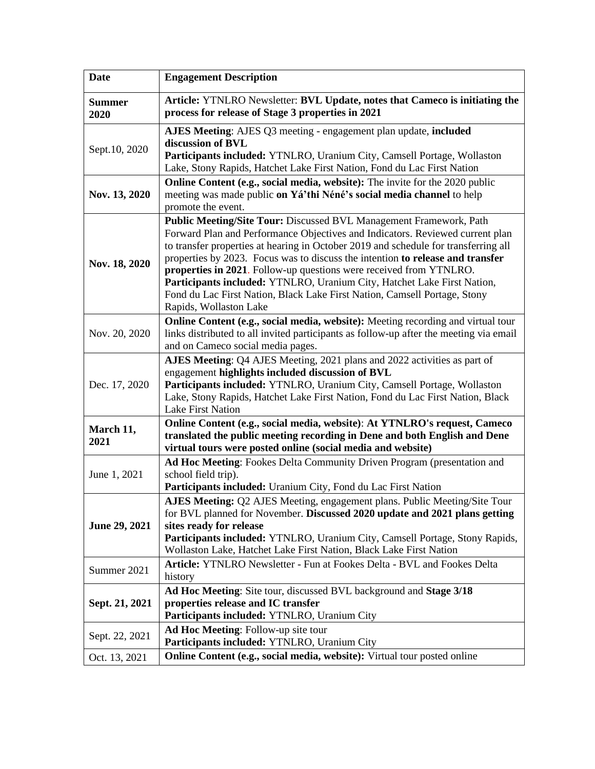| <b>Date</b>           | <b>Engagement Description</b>                                                                                                                                                                                                                                                                                                                                                                                                                                                                                                                                                        |
|-----------------------|--------------------------------------------------------------------------------------------------------------------------------------------------------------------------------------------------------------------------------------------------------------------------------------------------------------------------------------------------------------------------------------------------------------------------------------------------------------------------------------------------------------------------------------------------------------------------------------|
| <b>Summer</b><br>2020 | Article: YTNLRO Newsletter: BVL Update, notes that Cameco is initiating the<br>process for release of Stage 3 properties in 2021                                                                                                                                                                                                                                                                                                                                                                                                                                                     |
| Sept.10, 2020         | AJES Meeting: AJES Q3 meeting - engagement plan update, included<br>discussion of BVL<br>Participants included: YTNLRO, Uranium City, Camsell Portage, Wollaston                                                                                                                                                                                                                                                                                                                                                                                                                     |
| Nov. 13, 2020         | Lake, Stony Rapids, Hatchet Lake First Nation, Fond du Lac First Nation<br>Online Content (e.g., social media, website): The invite for the 2020 public<br>meeting was made public on Yá'thi Néné's social media channel to help<br>promote the event.                                                                                                                                                                                                                                                                                                                               |
| Nov. 18, 2020         | Public Meeting/Site Tour: Discussed BVL Management Framework, Path<br>Forward Plan and Performance Objectives and Indicators. Reviewed current plan<br>to transfer properties at hearing in October 2019 and schedule for transferring all<br>properties by 2023. Focus was to discuss the intention to release and transfer<br>properties in 2021. Follow-up questions were received from YTNLRO.<br>Participants included: YTNLRO, Uranium City, Hatchet Lake First Nation,<br>Fond du Lac First Nation, Black Lake First Nation, Camsell Portage, Stony<br>Rapids, Wollaston Lake |
| Nov. 20, 2020         | Online Content (e.g., social media, website): Meeting recording and virtual tour<br>links distributed to all invited participants as follow-up after the meeting via email<br>and on Cameco social media pages.                                                                                                                                                                                                                                                                                                                                                                      |
| Dec. 17, 2020         | AJES Meeting: Q4 AJES Meeting, 2021 plans and 2022 activities as part of<br>engagement highlights included discussion of BVL<br>Participants included: YTNLRO, Uranium City, Camsell Portage, Wollaston<br>Lake, Stony Rapids, Hatchet Lake First Nation, Fond du Lac First Nation, Black<br>Lake First Nation                                                                                                                                                                                                                                                                       |
| March 11,<br>2021     | Online Content (e.g., social media, website): At YTNLRO's request, Cameco<br>translated the public meeting recording in Dene and both English and Dene<br>virtual tours were posted online (social media and website)                                                                                                                                                                                                                                                                                                                                                                |
| June 1, 2021          | Ad Hoc Meeting: Fookes Delta Community Driven Program (presentation and<br>school field trip).<br>Participants included: Uranium City, Fond du Lac First Nation                                                                                                                                                                                                                                                                                                                                                                                                                      |
| June 29, 2021         | AJES Meeting: Q2 AJES Meeting, engagement plans. Public Meeting/Site Tour<br>for BVL planned for November. Discussed 2020 update and 2021 plans getting<br>sites ready for release<br>Participants included: YTNLRO, Uranium City, Camsell Portage, Stony Rapids,<br>Wollaston Lake, Hatchet Lake First Nation, Black Lake First Nation                                                                                                                                                                                                                                              |
| Summer 2021           | Article: YTNLRO Newsletter - Fun at Fookes Delta - BVL and Fookes Delta<br>history                                                                                                                                                                                                                                                                                                                                                                                                                                                                                                   |
| Sept. 21, 2021        | Ad Hoc Meeting: Site tour, discussed BVL background and Stage 3/18<br>properties release and IC transfer<br>Participants included: YTNLRO, Uranium City                                                                                                                                                                                                                                                                                                                                                                                                                              |
| Sept. 22, 2021        | <b>Ad Hoc Meeting: Follow-up site tour</b><br>Participants included: YTNLRO, Uranium City                                                                                                                                                                                                                                                                                                                                                                                                                                                                                            |
| Oct. 13, 2021         | Online Content (e.g., social media, website): Virtual tour posted online                                                                                                                                                                                                                                                                                                                                                                                                                                                                                                             |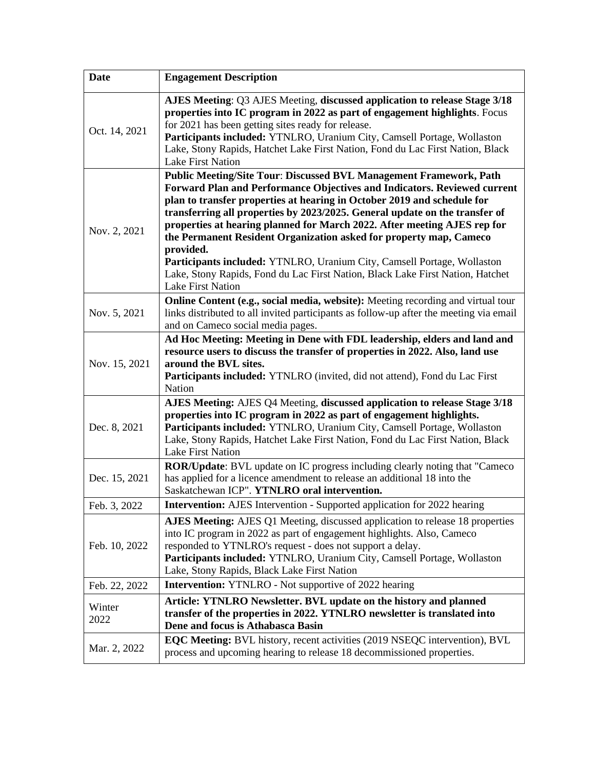| <b>Date</b>    | <b>Engagement Description</b>                                                                                                                                                                                                                                                                                                                                                                                                                                                                                                                                                                                                                                    |
|----------------|------------------------------------------------------------------------------------------------------------------------------------------------------------------------------------------------------------------------------------------------------------------------------------------------------------------------------------------------------------------------------------------------------------------------------------------------------------------------------------------------------------------------------------------------------------------------------------------------------------------------------------------------------------------|
| Oct. 14, 2021  | AJES Meeting: Q3 AJES Meeting, discussed application to release Stage 3/18<br>properties into IC program in 2022 as part of engagement highlights. Focus<br>for 2021 has been getting sites ready for release.<br>Participants included: YTNLRO, Uranium City, Camsell Portage, Wollaston<br>Lake, Stony Rapids, Hatchet Lake First Nation, Fond du Lac First Nation, Black<br>Lake First Nation                                                                                                                                                                                                                                                                 |
| Nov. 2, 2021   | <b>Public Meeting/Site Tour: Discussed BVL Management Framework, Path</b><br>Forward Plan and Performance Objectives and Indicators. Reviewed current<br>plan to transfer properties at hearing in October 2019 and schedule for<br>transferring all properties by 2023/2025. General update on the transfer of<br>properties at hearing planned for March 2022. After meeting AJES rep for<br>the Permanent Resident Organization asked for property map, Cameco<br>provided.<br>Participants included: YTNLRO, Uranium City, Camsell Portage, Wollaston<br>Lake, Stony Rapids, Fond du Lac First Nation, Black Lake First Nation, Hatchet<br>Lake First Nation |
| Nov. 5, 2021   | Online Content (e.g., social media, website): Meeting recording and virtual tour<br>links distributed to all invited participants as follow-up after the meeting via email<br>and on Cameco social media pages.                                                                                                                                                                                                                                                                                                                                                                                                                                                  |
| Nov. 15, 2021  | Ad Hoc Meeting: Meeting in Dene with FDL leadership, elders and land and<br>resource users to discuss the transfer of properties in 2022. Also, land use<br>around the BVL sites.<br>Participants included: YTNLRO (invited, did not attend), Fond du Lac First<br>Nation                                                                                                                                                                                                                                                                                                                                                                                        |
| Dec. 8, 2021   | AJES Meeting: AJES Q4 Meeting, discussed application to release Stage 3/18<br>properties into IC program in 2022 as part of engagement highlights.<br>Participants included: YTNLRO, Uranium City, Camsell Portage, Wollaston<br>Lake, Stony Rapids, Hatchet Lake First Nation, Fond du Lac First Nation, Black<br>Lake First Nation                                                                                                                                                                                                                                                                                                                             |
| Dec. 15, 2021  | ROR/Update: BVL update on IC progress including clearly noting that "Cameco<br>has applied for a licence amendment to release an additional 18 into the<br>Saskatchewan ICP". YTNLRO oral intervention.                                                                                                                                                                                                                                                                                                                                                                                                                                                          |
| Feb. 3, 2022   | Intervention: AJES Intervention - Supported application for 2022 hearing                                                                                                                                                                                                                                                                                                                                                                                                                                                                                                                                                                                         |
| Feb. 10, 2022  | AJES Meeting: AJES Q1 Meeting, discussed application to release 18 properties<br>into IC program in 2022 as part of engagement highlights. Also, Cameco<br>responded to YTNLRO's request - does not support a delay.<br>Participants included: YTNLRO, Uranium City, Camsell Portage, Wollaston<br>Lake, Stony Rapids, Black Lake First Nation                                                                                                                                                                                                                                                                                                                   |
| Feb. 22, 2022  | <b>Intervention:</b> YTNLRO - Not supportive of 2022 hearing                                                                                                                                                                                                                                                                                                                                                                                                                                                                                                                                                                                                     |
| Winter<br>2022 | Article: YTNLRO Newsletter. BVL update on the history and planned<br>transfer of the properties in 2022. YTNLRO newsletter is translated into<br>Dene and focus is Athabasca Basin                                                                                                                                                                                                                                                                                                                                                                                                                                                                               |
| Mar. 2, 2022   | <b>EQC Meeting:</b> BVL history, recent activities (2019 NSEQC intervention), BVL<br>process and upcoming hearing to release 18 decommissioned properties.                                                                                                                                                                                                                                                                                                                                                                                                                                                                                                       |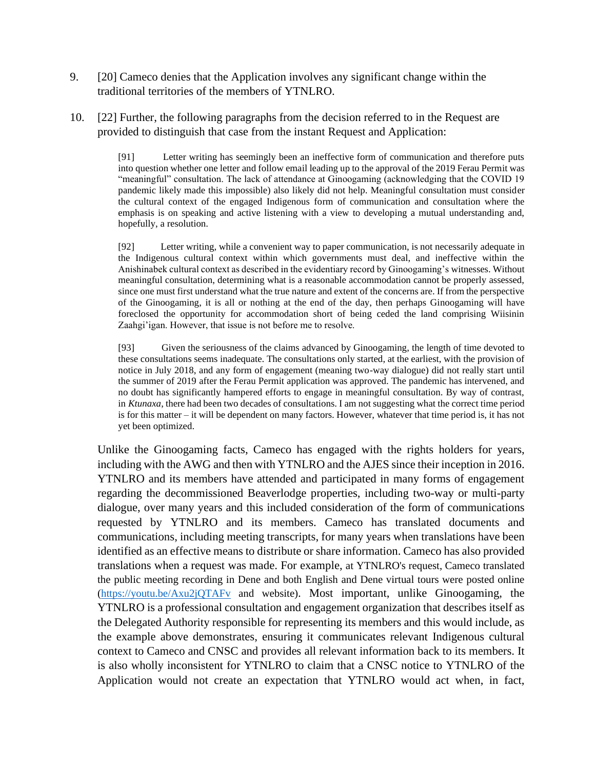- 9. [20] Cameco denies that the Application involves any significant change within the traditional territories of the members of YTNLRO.
- 10. [22] Further, the following paragraphs from the decision referred to in the Request are provided to distinguish that case from the instant Request and Application:

[91] Letter writing has seemingly been an ineffective form of communication and therefore puts into question whether one letter and follow email leading up to the approval of the 2019 Ferau Permit was "meaningful" consultation. The lack of attendance at Ginoogaming (acknowledging that the COVID 19 pandemic likely made this impossible) also likely did not help. Meaningful consultation must consider the cultural context of the engaged Indigenous form of communication and consultation where the emphasis is on speaking and active listening with a view to developing a mutual understanding and, hopefully, a resolution.

[92] Letter writing, while a convenient way to paper communication, is not necessarily adequate in the Indigenous cultural context within which governments must deal, and ineffective within the Anishinabek cultural context as described in the evidentiary record by Ginoogaming's witnesses. Without meaningful consultation, determining what is a reasonable accommodation cannot be properly assessed, since one must first understand what the true nature and extent of the concerns are. If from the perspective of the Ginoogaming, it is all or nothing at the end of the day, then perhaps Ginoogaming will have foreclosed the opportunity for accommodation short of being ceded the land comprising Wiisinin Zaahgi'igan. However, that issue is not before me to resolve.

[93] Given the seriousness of the claims advanced by Ginoogaming, the length of time devoted to these consultations seems inadequate. The consultations only started, at the earliest, with the provision of notice in July 2018, and any form of engagement (meaning two-way dialogue) did not really start until the summer of 2019 after the Ferau Permit application was approved. The pandemic has intervened, and no doubt has significantly hampered efforts to engage in meaningful consultation. By way of contrast, in *Ktunaxa*, there had been two decades of consultations. I am not suggesting what the correct time period is for this matter – it will be dependent on many factors. However, whatever that time period is, it has not yet been optimized.

Unlike the Ginoogaming facts, Cameco has engaged with the rights holders for years, including with the AWG and then with YTNLRO and the AJES since their inception in 2016. YTNLRO and its members have attended and participated in many forms of engagement regarding the decommissioned Beaverlodge properties, including two-way or multi-party dialogue, over many years and this included consideration of the form of communications requested by YTNLRO and its members. Cameco has translated documents and communications, including meeting transcripts, for many years when translations have been identified as an effective means to distribute or share information. Cameco has also provided translations when a request was made. For example, at YTNLRO's request, Cameco translated the public meeting recording in Dene and both English and Dene virtual tours were posted online [\(https://youtu.be/Axu2jQTAFv](https://youtu.be/Axu2jQTAFv) and website). Most important, unlike Ginoogaming, the YTNLRO is a professional consultation and engagement organization that describes itself as the Delegated Authority responsible for representing its members and this would include, as the example above demonstrates, ensuring it communicates relevant Indigenous cultural context to Cameco and CNSC and provides all relevant information back to its members. It is also wholly inconsistent for YTNLRO to claim that a CNSC notice to YTNLRO of the Application would not create an expectation that YTNLRO would act when, in fact,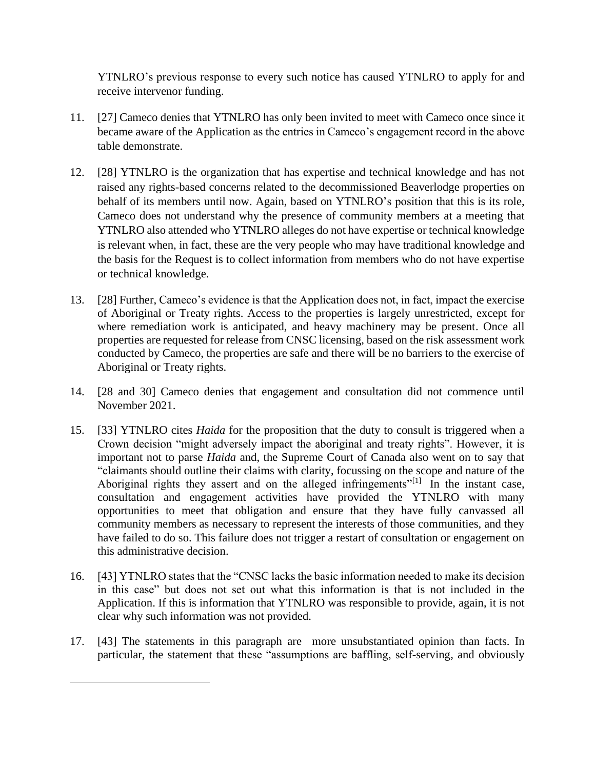YTNLRO's previous response to every such notice has caused YTNLRO to apply for and receive intervenor funding.

- 11. [27] Cameco denies that YTNLRO has only been invited to meet with Cameco once since it became aware of the Application as the entries in Cameco's engagement record in the above table demonstrate.
- 12. [28] YTNLRO is the organization that has expertise and technical knowledge and has not raised any rights-based concerns related to the decommissioned Beaverlodge properties on behalf of its members until now. Again, based on YTNLRO's position that this is its role, Cameco does not understand why the presence of community members at a meeting that YTNLRO also attended who YTNLRO alleges do not have expertise or technical knowledge is relevant when, in fact, these are the very people who may have traditional knowledge and the basis for the Request is to collect information from members who do not have expertise or technical knowledge.
- 13. [28] Further, Cameco's evidence is that the Application does not, in fact, impact the exercise of Aboriginal or Treaty rights. Access to the properties is largely unrestricted, except for where remediation work is anticipated, and heavy machinery may be present. Once all properties are requested for release from CNSC licensing, based on the risk assessment work conducted by Cameco, the properties are safe and there will be no barriers to the exercise of Aboriginal or Treaty rights.
- 14. [28 and 30] Cameco denies that engagement and consultation did not commence until November 2021.
- 15. [33] YTNLRO cites *Haida* for the proposition that the duty to consult is triggered when a Crown decision "might adversely impact the aboriginal and treaty rights". However, it is important not to parse *Haida* and, the Supreme Court of Canada also went on to say that "claimants should outline their claims with clarity, focussing on the scope and nature of the Aboriginal rights they assert and on the alleged infringements<sup> $n[1]$ </sup> In the instant case, consultation and engagement activities have provided the YTNLRO with many opportunities to meet that obligation and ensure that they have fully canvassed all community members as necessary to represent the interests of those communities, and they have failed to do so. This failure does not trigger a restart of consultation or engagement on this administrative decision.
- 16. [43] YTNLRO states that the "CNSC lacks the basic information needed to make its decision in this case" but does not set out what this information is that is not included in the Application. If this is information that YTNLRO was responsible to provide, again, it is not clear why such information was not provided.
- 17. [43] The statements in this paragraph are more unsubstantiated opinion than facts. In particular, the statement that these "assumptions are baffling, self-serving, and obviously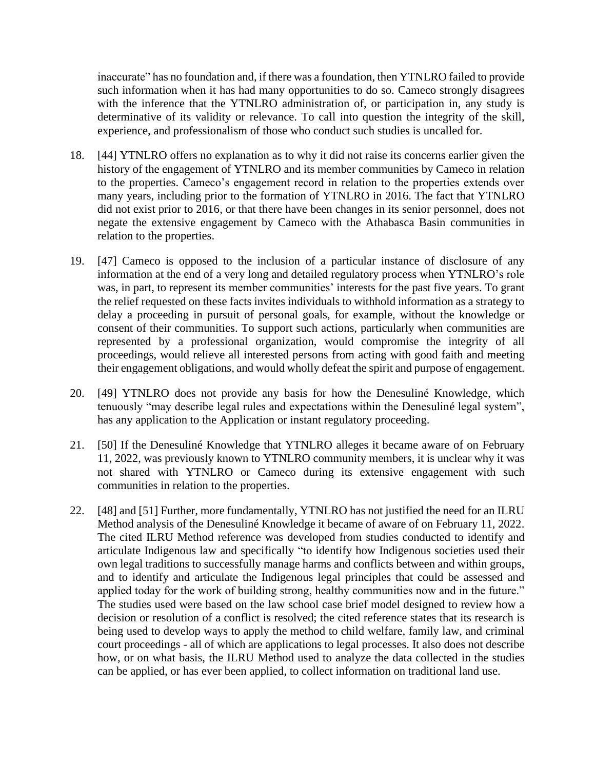inaccurate" has no foundation and, if there was a foundation, then YTNLRO failed to provide such information when it has had many opportunities to do so. Cameco strongly disagrees with the inference that the YTNLRO administration of, or participation in, any study is determinative of its validity or relevance. To call into question the integrity of the skill, experience, and professionalism of those who conduct such studies is uncalled for.

- 18. [44] YTNLRO offers no explanation as to why it did not raise its concerns earlier given the history of the engagement of YTNLRO and its member communities by Cameco in relation to the properties. Cameco's engagement record in relation to the properties extends over many years, including prior to the formation of YTNLRO in 2016. The fact that YTNLRO did not exist prior to 2016, or that there have been changes in its senior personnel, does not negate the extensive engagement by Cameco with the Athabasca Basin communities in relation to the properties.
- 19. [47] Cameco is opposed to the inclusion of a particular instance of disclosure of any information at the end of a very long and detailed regulatory process when YTNLRO's role was, in part, to represent its member communities' interests for the past five years. To grant the relief requested on these facts invites individuals to withhold information as a strategy to delay a proceeding in pursuit of personal goals, for example, without the knowledge or consent of their communities. To support such actions, particularly when communities are represented by a professional organization, would compromise the integrity of all proceedings, would relieve all interested persons from acting with good faith and meeting their engagement obligations, and would wholly defeat the spirit and purpose of engagement.
- 20. [49] YTNLRO does not provide any basis for how the Denesuliné Knowledge, which tenuously "may describe legal rules and expectations within the Denesuliné legal system", has any application to the Application or instant regulatory proceeding.
- 21. [50] If the Denesuliné Knowledge that YTNLRO alleges it became aware of on February 11, 2022, was previously known to YTNLRO community members, it is unclear why it was not shared with YTNLRO or Cameco during its extensive engagement with such communities in relation to the properties.
- 22. [48] and [51] Further, more fundamentally, YTNLRO has not justified the need for an ILRU Method analysis of the Denesuliné Knowledge it became of aware of on February 11, 2022. The cited ILRU Method reference was developed from studies conducted to identify and articulate Indigenous law and specifically "to identify how Indigenous societies used their own legal traditions to successfully manage harms and conflicts between and within groups, and to identify and articulate the Indigenous legal principles that could be assessed and applied today for the work of building strong, healthy communities now and in the future." The studies used were based on the law school case brief model designed to review how a decision or resolution of a conflict is resolved; the cited reference states that its research is being used to develop ways to apply the method to child welfare, family law, and criminal court proceedings - all of which are applications to legal processes. It also does not describe how, or on what basis, the ILRU Method used to analyze the data collected in the studies can be applied, or has ever been applied, to collect information on traditional land use.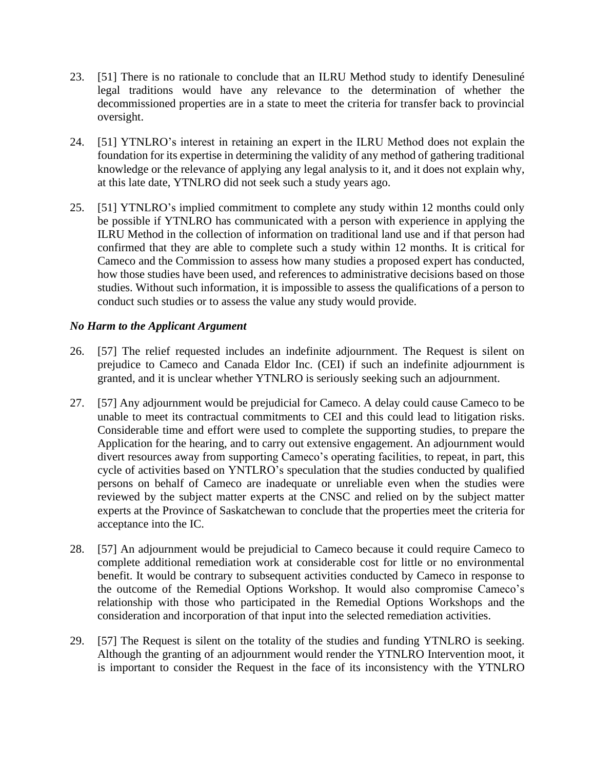- 23. [51] There is no rationale to conclude that an ILRU Method study to identify Denesuliné legal traditions would have any relevance to the determination of whether the decommissioned properties are in a state to meet the criteria for transfer back to provincial oversight.
- 24. [51] YTNLRO's interest in retaining an expert in the ILRU Method does not explain the foundation for its expertise in determining the validity of any method of gathering traditional knowledge or the relevance of applying any legal analysis to it, and it does not explain why, at this late date, YTNLRO did not seek such a study years ago.
- 25. [51] YTNLRO's implied commitment to complete any study within 12 months could only be possible if YTNLRO has communicated with a person with experience in applying the ILRU Method in the collection of information on traditional land use and if that person had confirmed that they are able to complete such a study within 12 months. It is critical for Cameco and the Commission to assess how many studies a proposed expert has conducted, how those studies have been used, and references to administrative decisions based on those studies. Without such information, it is impossible to assess the qualifications of a person to conduct such studies or to assess the value any study would provide.

### *No Harm to the Applicant Argument*

- 26. [57] The relief requested includes an indefinite adjournment. The Request is silent on prejudice to Cameco and Canada Eldor Inc. (CEI) if such an indefinite adjournment is granted, and it is unclear whether YTNLRO is seriously seeking such an adjournment.
- 27. [57] Any adjournment would be prejudicial for Cameco. A delay could cause Cameco to be unable to meet its contractual commitments to CEI and this could lead to litigation risks. Considerable time and effort were used to complete the supporting studies, to prepare the Application for the hearing, and to carry out extensive engagement. An adjournment would divert resources away from supporting Cameco's operating facilities, to repeat, in part, this cycle of activities based on YNTLRO's speculation that the studies conducted by qualified persons on behalf of Cameco are inadequate or unreliable even when the studies were reviewed by the subject matter experts at the CNSC and relied on by the subject matter experts at the Province of Saskatchewan to conclude that the properties meet the criteria for acceptance into the IC.
- 28. [57] An adjournment would be prejudicial to Cameco because it could require Cameco to complete additional remediation work at considerable cost for little or no environmental benefit. It would be contrary to subsequent activities conducted by Cameco in response to the outcome of the Remedial Options Workshop. It would also compromise Cameco's relationship with those who participated in the Remedial Options Workshops and the consideration and incorporation of that input into the selected remediation activities.
- 29. [57] The Request is silent on the totality of the studies and funding YTNLRO is seeking. Although the granting of an adjournment would render the YTNLRO Intervention moot, it is important to consider the Request in the face of its inconsistency with the YTNLRO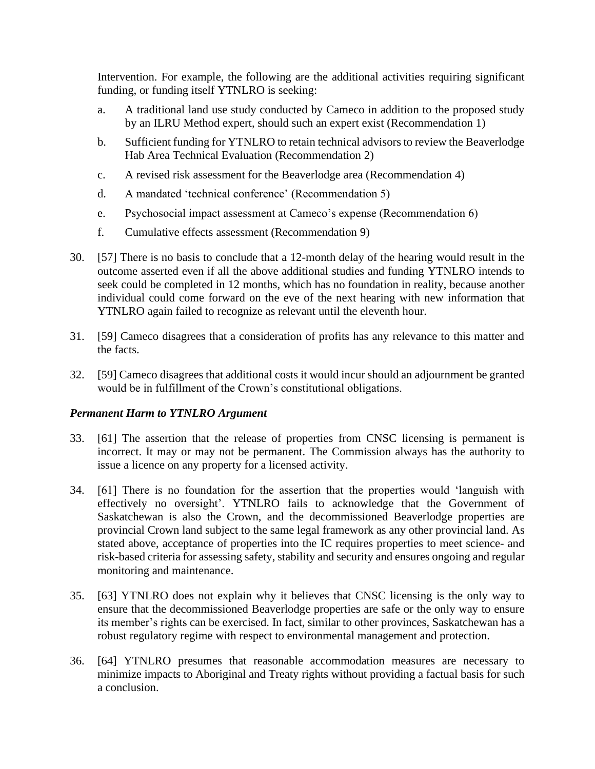Intervention. For example, the following are the additional activities requiring significant funding, or funding itself YTNLRO is seeking:

- a. A traditional land use study conducted by Cameco in addition to the proposed study by an ILRU Method expert, should such an expert exist (Recommendation 1)
- b. Sufficient funding for YTNLRO to retain technical advisors to review the Beaverlodge Hab Area Technical Evaluation (Recommendation 2)
- c. A revised risk assessment for the Beaverlodge area (Recommendation 4)
- d. A mandated 'technical conference' (Recommendation 5)
- e. Psychosocial impact assessment at Cameco's expense (Recommendation 6)
- f. Cumulative effects assessment (Recommendation 9)
- 30. [57] There is no basis to conclude that a 12-month delay of the hearing would result in the outcome asserted even if all the above additional studies and funding YTNLRO intends to seek could be completed in 12 months, which has no foundation in reality, because another individual could come forward on the eve of the next hearing with new information that YTNLRO again failed to recognize as relevant until the eleventh hour.
- 31. [59] Cameco disagrees that a consideration of profits has any relevance to this matter and the facts.
- 32. [59] Cameco disagrees that additional costs it would incur should an adjournment be granted would be in fulfillment of the Crown's constitutional obligations.

#### *Permanent Harm to YTNLRO Argument*

- 33. [61] The assertion that the release of properties from CNSC licensing is permanent is incorrect. It may or may not be permanent. The Commission always has the authority to issue a licence on any property for a licensed activity.
- 34. [61] There is no foundation for the assertion that the properties would 'languish with effectively no oversight'. YTNLRO fails to acknowledge that the Government of Saskatchewan is also the Crown, and the decommissioned Beaverlodge properties are provincial Crown land subject to the same legal framework as any other provincial land. As stated above, acceptance of properties into the IC requires properties to meet science- and risk-based criteria for assessing safety, stability and security and ensures ongoing and regular monitoring and maintenance.
- 35. [63] YTNLRO does not explain why it believes that CNSC licensing is the only way to ensure that the decommissioned Beaverlodge properties are safe or the only way to ensure its member's rights can be exercised. In fact, similar to other provinces, Saskatchewan has a robust regulatory regime with respect to environmental management and protection.
- 36. [64] YTNLRO presumes that reasonable accommodation measures are necessary to minimize impacts to Aboriginal and Treaty rights without providing a factual basis for such a conclusion.